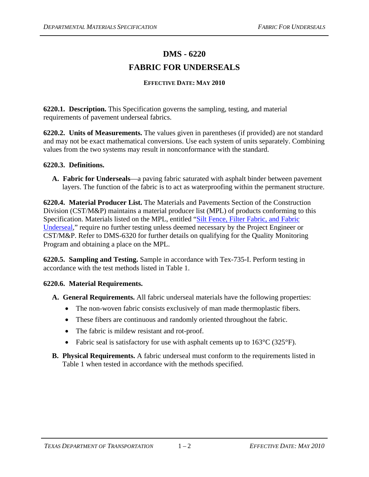## **DMS - 6220 FABRIC FOR UNDERSEALS**

## **EFFECTIVE DATE: MAY 2010**

**6220.1. Description.** This Specification governs the sampling, testing, and material requirements of pavement underseal fabrics.

**6220.2. Units of Measurements.** The values given in parentheses (if provided) are not standard and may not be exact mathematical conversions. Use each system of units separately. Combining values from the two systems may result in nonconformance with the standard.

## **6220.3. Definitions.**

**A. Fabric for Underseals**—a paving fabric saturated with asphalt binder between pavement layers. The function of the fabric is to act as waterproofing within the permanent structure.

**6220.4. Material Producer List.** The Materials and Pavements Section of the Construction Division (CST/M&P) maintains a material producer list (MPL) of products conforming to this Specification. Materials listed on the MPL, entitled ["Silt Fence, Filter Fabric, and Fabric](ftp://ftp.dot.state.tx.us/pub/txdot-info/cmd/mpl/siltfnce.pdf)  [Underseal,](ftp://ftp.dot.state.tx.us/pub/txdot-info/cmd/mpl/siltfnce.pdf)" require no further testing unless deemed necessary by the Project Engineer or CST/M&P. Refer to DMS-6320 for further details on qualifying for the Quality Monitoring Program and obtaining a place on the MPL.

**6220.5. Sampling and Testing.** Sample in accordance with Tex-735-I. Perform testing in accordance with the test methods listed in Table 1.

## **6220.6. Material Requirements.**

- **A. General Requirements.** All fabric underseal materials have the following properties:
	- The non-woven fabric consists exclusively of man made thermoplastic fibers.
	- These fibers are continuous and randomly oriented throughout the fabric.
	- The fabric is mildew resistant and rot-proof.
	- Fabric seal is satisfactory for use with asphalt cements up to  $163^{\circ}C(325^{\circ}F)$ .
- **B. Physical Requirements.** A fabric underseal must conform to the requirements listed in Table 1 when tested in accordance with the methods specified.